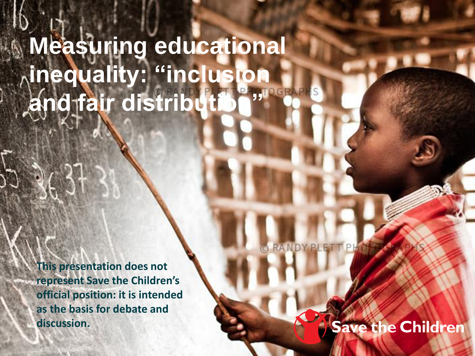## **Measuring educational inequality: "inclusion and fair distribution"**

**This presentation does not represent Save the Children's official position: it is intended as the basis for debate and discussion.** 

**RANDY PLET** 

### Save the Children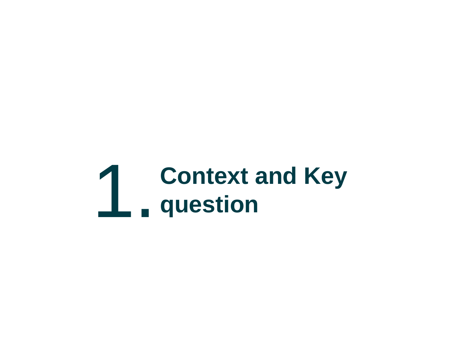# 1. **Context and Key question**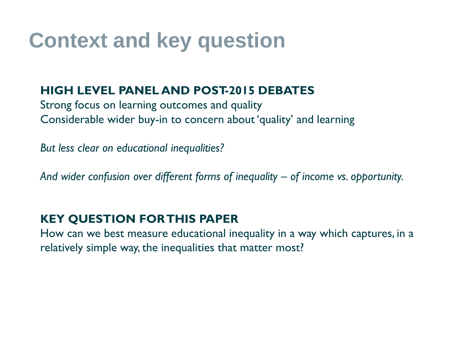### **Context and key question**

#### **HIGH LEVEL PANEL AND POST-2015 DEBATES**

Strong focus on learning outcomes and quality Considerable wider buy-in to concern about 'quality' and learning

*But less clear on educational inequalities?* 

And wider confusion over different forms of inequality – of income vs. opportunity.

#### **KEY QUESTION FOR THIS PAPER**

How can we best measure educational inequality in a way which captures, in a relatively simple way, the inequalities that matter most?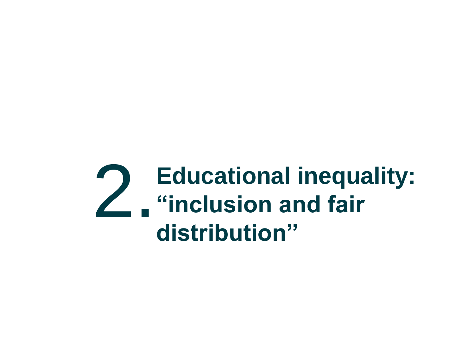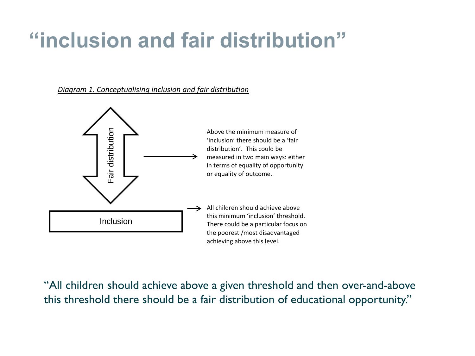### **"inclusion and fair distribution"**

#### *Diagram 1. Conceptualising inclusion and fair distribution*



"All children should achieve above a given threshold and then over-and-above this threshold there should be a fair distribution of educational opportunity."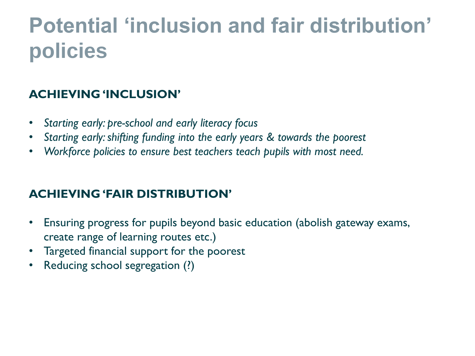### **Potential 'inclusion and fair distribution' policies**

#### **ACHIEVING 'INCLUSION'**

- *Starting early: pre-school and early literacy focus*
- *Starting early: shifting funding into the early years & towards the poorest*
- *Workforce policies to ensure best teachers teach pupils with most need.*

#### **ACHIEVING 'FAIR DISTRIBUTION'**

- Ensuring progress for pupils beyond basic education (abolish gateway exams, create range of learning routes etc.)
- Targeted financial support for the poorest
- Reducing school segregation (?)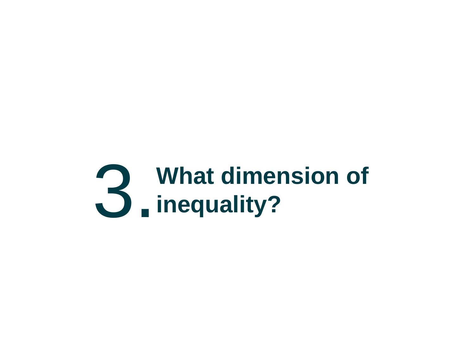# 3. What dimension of **3.** inequality? **inequality?**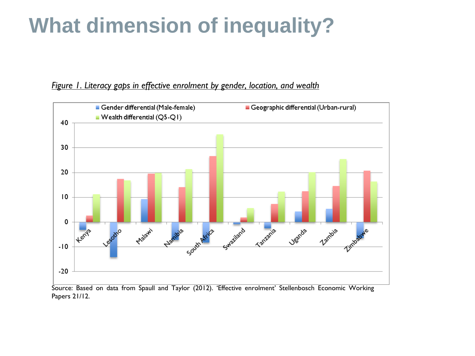### **What dimension of inequality?**

#### *Figure 1. Literacy gaps in effective enrolment by gender, location, and wealth*



Source: Based on data from Spaull and Taylor (2012). 'Effective enrolment' Stellenbosch Economic Working Papers 21/12.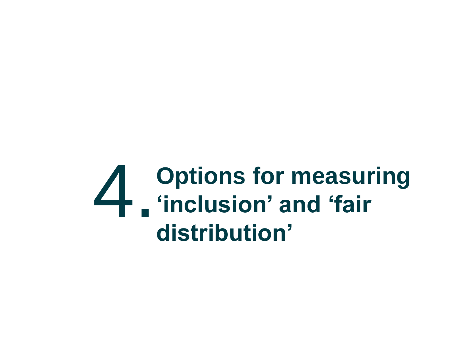### 4. **Options for measuring 'inclusion' and 'fair distribution'**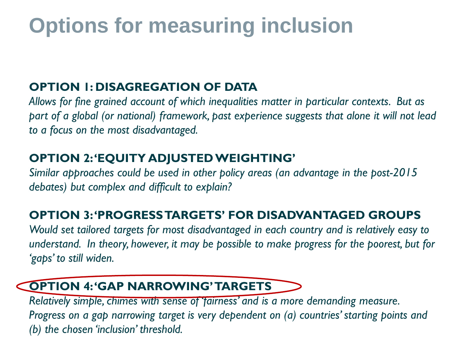### **Options for measuring inclusion**

#### **OPTION 1: DISAGREGATION OF DATA**

*Allows for fine grained account of which inequalities matter in particular contexts. But as part of a global (or national) framework, past experience suggests that alone it will not lead to a focus on the most disadvantaged.* 

#### **OPTION 2: 'EQUITY ADJUSTED WEIGHTING'**

*Similar approaches could be used in other policy areas (an advantage in the post-2015 debates) but complex and difficult to explain?* 

#### **OPTION 3: 'PROGRESS TARGETS' FOR DISADVANTAGED GROUPS**

*Would set tailored targets for most disadvantaged in each country and is relatively easy to understand. In theory, however, it may be possible to make progress for the poorest, but for 'gaps' to still widen.*

### **OPTION 4: 'GAP NARROWING' TARGETS**

*Relatively simple, chimes with sense of 'fairness' and is a more demanding measure. Progress on a gap narrowing target is very dependent on (a) countries' starting points and (b) the chosen 'inclusion' threshold.*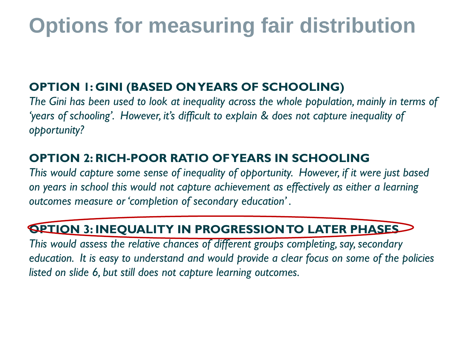### **Options for measuring fair distribution**

#### **OPTION 1: GINI (BASED ON YEARS OF SCHOOLING)**

*The Gini has been used to look at inequality across the whole population, mainly in terms of 'years of schooling'. However, it's difficult to explain & does not capture inequality of opportunity?* 

#### **OPTION 2: RICH-POOR RATIO OF YEARS IN SCHOOLING**

*This would capture some sense of inequality of opportunity. However, if it were just based on years in school this would not capture achievement as effectively as either a learning outcomes measure or 'completion of secondary education' .* 

### **OPTION 3: INEQUALITY IN PROGRESSION TO LATER PHASES**

*This would assess the relative chances of different groups completing, say, secondary education. It is easy to understand and would provide a clear focus on some of the policies listed on slide 6, but still does not capture learning outcomes.*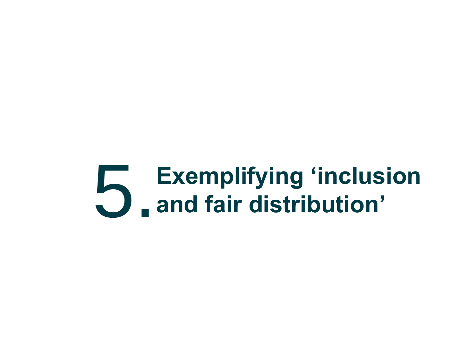# 5.**Exemplifying 'inclusion and fair distribution'**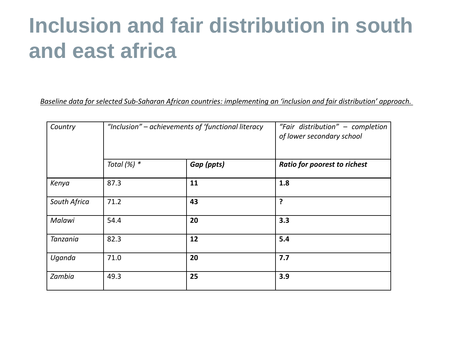### **Inclusion and fair distribution in south and east africa**

*Baseline data for selected Sub-Saharan African countries: implementing an 'inclusion and fair distribution' approach.*

| Country      | "Inclusion" – achievements of 'functional literacy |            | "Fair distribution" - completion<br>of lower secondary school |
|--------------|----------------------------------------------------|------------|---------------------------------------------------------------|
|              | Total $(%)$ *                                      | Gap (ppts) | <b>Ratio for poorest to richest</b>                           |
| Kenya        | 87.3                                               | 11         | 1.8                                                           |
| South Africa | 71.2                                               | 43         | ?                                                             |
| Malawi       | 54.4                                               | 20         | 3.3                                                           |
| Tanzania     | 82.3                                               | 12         | 5.4                                                           |
| Uganda       | 71.0                                               | 20         | 7.7                                                           |
| Zambia       | 49.3                                               | 25         | 3.9                                                           |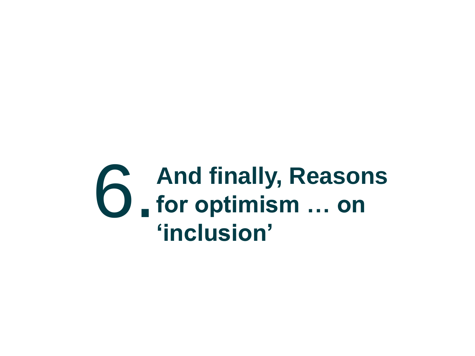## **6.** And finally, Reasons **for optimism … on 'inclusion'**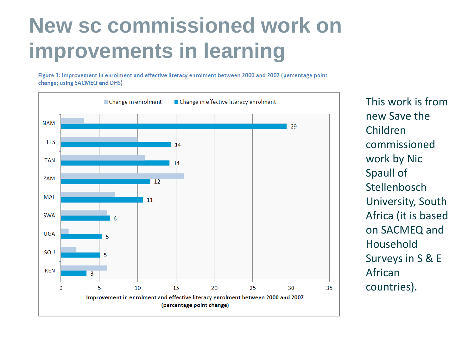### **New sc commissioned work on improvements in learning**

Figure 1: Improvement in enrolment and effective literacy enrolment between 2000 and 2007 (percentage point change: using SACMEQ and DHS)



This work is from new Save the Children commissioned work by Nic Spaull of Stellenbosch University, South Africa (it is based on SACMEQ and Household Surveys in S & E African countries).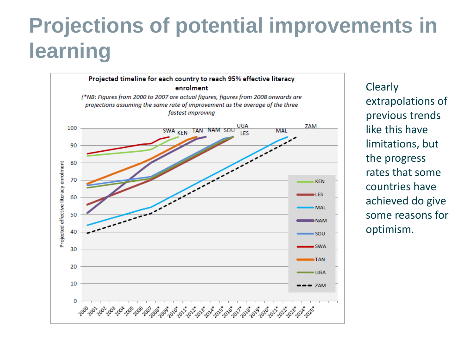### **Projections of potential improvements in learning**



Clearly extrapolations of previous trends like this have limitations, but the progress rates that some countries have achieved do give some reasons for optimism.